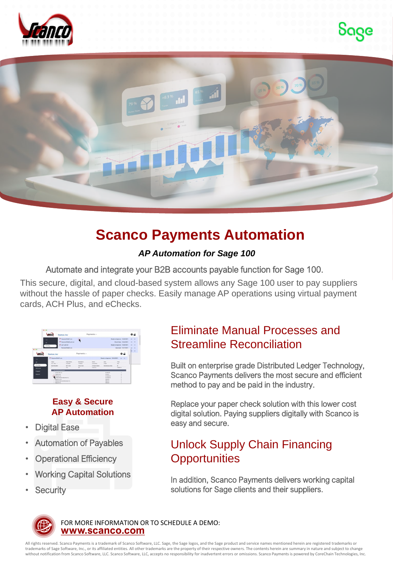





# **Scanco Payments Automation**

#### *AP Automation for Sage 100*

Automate and integrate your B2B accounts payable function for Sage 100.

This secure, digital, and cloud-based system allows any Sage 100 user to pay suppliers without the hassle of paper checks. Easily manage AP operations using virtual payment cards, ACH Plus, and eChecks.

|                | Textron Inc.                      |                                    | Payments v                      |                        |                                     |                                     |         |
|----------------|-----------------------------------|------------------------------------|---------------------------------|------------------------|-------------------------------------|-------------------------------------|---------|
|                | $\overline{\phantom{a}}$          | M PaymentFée01.cov                 |                                 |                        |                                     | Ready to Approve 15/8/2021 (2) [3]  |         |
|                | $\overline{a}$                    | P. Painter/FileD4.ach.txt          |                                 |                        |                                     | Check Data   McA/2021   (0)   CT    |         |
|                |                                   | W outl achief                      |                                 |                        |                                     | Ready to Approve: 10/8/2021 (2) [7] |         |
|                | Pending                           |                                    |                                 |                        |                                     |                                     |         |
| $\cdots$       |                                   | Permant(la02.com                   |                                 |                        |                                     | Assessed 10/7/2021 (10) 53          |         |
|                |                                   |                                    |                                 |                        |                                     |                                     | $b - 1$ |
|                | Textron, Inc.                     |                                    | Payments v                      |                        |                                     | 0.2                                 |         |
|                |                                   |                                    |                                 |                        |                                     |                                     |         |
| -              | P. Paynential1.com                |                                    |                                 |                        | Ready to Approve: 10/8/2021 (2) (2) |                                     |         |
| $\overline{a}$ | <b>DOM:</b>                       | <b>Grant Barber</b>                | <b><i><u>Restaurant</u></i></b> | home.                  | <b>Date</b>                         | Total                               |         |
| Pending        | the figure 11                     | <b>Toyota</b>                      | <b>STARTED</b>                  | <b>Council Service</b> | <b>CONTRACTOR</b>                   | -                                   |         |
|                | <b>Ball &amp; Bundari</b>         | <b>MCGule</b>                      | Claim Code<br>-                 | Consens Name           | Descriptionary Data:                | $\sim$                              |         |
| Deltared       |                                   | <b>COL</b>                         |                                 | Texture for            |                                     | <b>Protective</b>                   |         |
| Fingered       | <b>We hill stuff Payment</b>      |                                    |                                 |                        |                                     |                                     |         |
|                | to Asiate left for                |                                    |                                 |                        | \$1,825.67                          |                                     |         |
| Reports        | ** Family by                      |                                    |                                 |                        | \$100.07                            |                                     |         |
|                | Nifesto Inc.                      |                                    |                                 |                        | <b>RISKAR</b><br><b>RIGHTS AND</b>  |                                     |         |
|                | <b><i>Contractor Services</i></b> | Lindhed Deferred Industries Inc.   |                                 |                        |                                     |                                     |         |
|                |                                   | ** Referred Steal and Aluminum Co. |                                 |                        | \$246,00<br>DAMA AT                 |                                     |         |
|                | 14 Separate Inc.                  |                                    |                                 |                        | <b>BSN-RP</b>                       |                                     |         |

#### **Easy & Secure AP Automation**

- **Digital Ease**
- Automation of Payables
- **Operational Efficiency**
- Working Capital Solutions
- **Security**

### Eliminate Manual Processes and Streamline Reconciliation

Built on enterprise grade Distributed Ledger Technology, Scanco Payments delivers the most secure and efficient method to pay and be paid in the industry.

Replace your paper check solution with this lower cost digital solution. Paying suppliers digitally with Scanco is easy and secure.

## Unlock Supply Chain Financing **Opportunities**

In addition, Scanco Payments delivers working capital solutions for Sage clients and their suppliers.



**[www.scanco.com](https://scanco.com/)** FOR MORE INFORMATION OR TO SCHEDULE A DEMO:

All rights reserved. Scanco Payments is a trademark of Scanco Software, LLC. Sage, the Sage logos, and the Sage product and service names mentioned herein are registered trademarks or trademarks of Sage Software, Inc., or its affiliated entities. All other trademarks are the property of their respective owners. The contents herein are summary in nature and subject to change without notification from Scanco Software, LLC. Scanco Software, LLC, accepts no responsibility for inadvertent errors or omissions. Scanco Payments is powered by CoreChain Technologies, Inc.